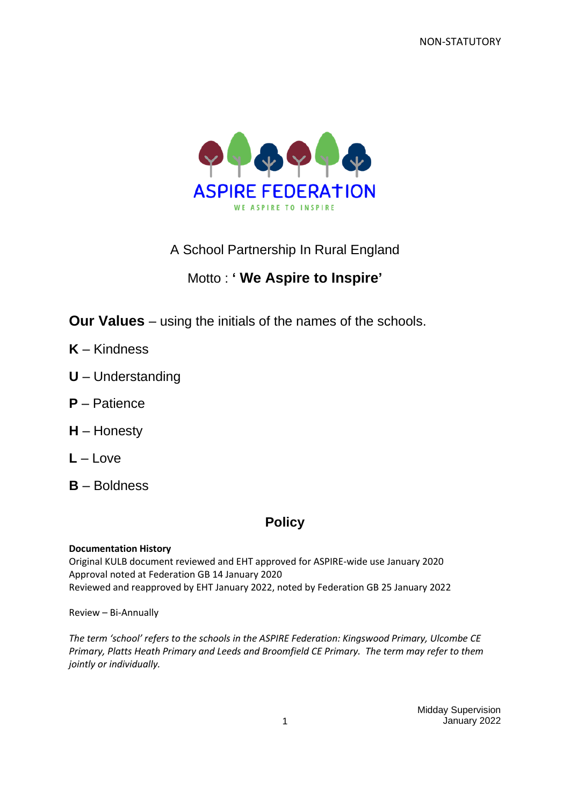NON-STATUTORY



A School Partnership In Rural England

# Motto : **' We Aspire to Inspire'**

**Our Values** – using the initials of the names of the schools.

- **K** Kindness
- **U** Understanding
- **P** Patience
- **H** Honesty
- **L** Love
- **B** Boldness

# **Policy**

#### **Documentation History**

Original KULB document reviewed and EHT approved for ASPIRE-wide use January 2020 Approval noted at Federation GB 14 January 2020 Reviewed and reapproved by EHT January 2022, noted by Federation GB 25 January 2022

Review – Bi-Annually

*The term 'school' refers to the schools in the ASPIRE Federation: Kingswood Primary, Ulcombe CE Primary, Platts Heath Primary and Leeds and Broomfield CE Primary. The term may refer to them jointly or individually.*

> Midday Supervision 1 January 2022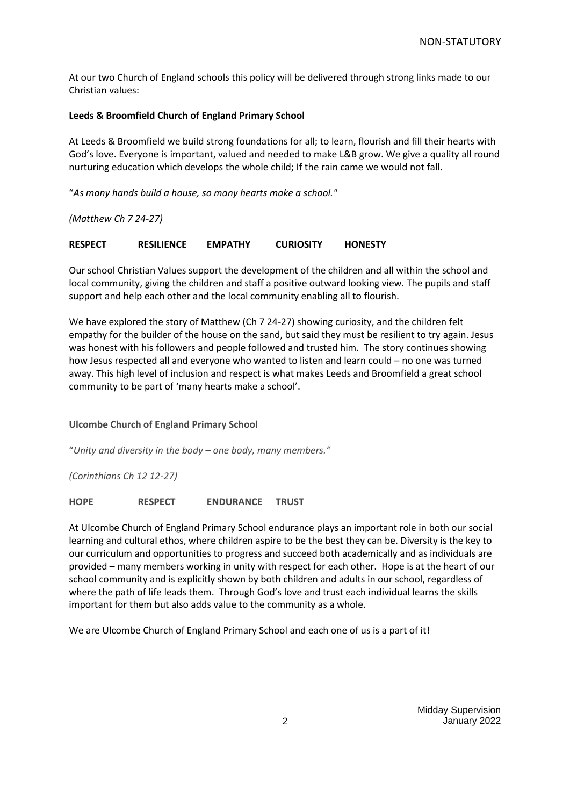At our two Church of England schools this policy will be delivered through strong links made to our Christian values:

#### **Leeds & Broomfield Church of England Primary School**

At Leeds & Broomfield we build strong foundations for all; to learn, flourish and fill their hearts with God's love. Everyone is important, valued and needed to make L&B grow. We give a quality all round nurturing education which develops the whole child; If the rain came we would not fall.

"*As many hands build a house, so many hearts make a school."*

*(Matthew Ch 7 24-27)*

**RESPECT RESILIENCE EMPATHY CURIOSITY HONESTY**

Our school Christian Values support the development of the children and all within the school and local community, giving the children and staff a positive outward looking view. The pupils and staff support and help each other and the local community enabling all to flourish.

We have explored the story of Matthew (Ch 7 24-27) showing curiosity, and the children felt empathy for the builder of the house on the sand, but said they must be resilient to try again. Jesus was honest with his followers and people followed and trusted him. The story continues showing how Jesus respected all and everyone who wanted to listen and learn could – no one was turned away. This high level of inclusion and respect is what makes Leeds and Broomfield a great school community to be part of 'many hearts make a school'.

**Ulcombe Church of England Primary School**

"*Unity and diversity in the body – one body, many members."*

*(Corinthians Ch 12 12-27)*

**HOPE RESPECT ENDURANCE TRUST**

At Ulcombe Church of England Primary School endurance plays an important role in both our social learning and cultural ethos, where children aspire to be the best they can be. Diversity is the key to our curriculum and opportunities to progress and succeed both academically and as individuals are provided – many members working in unity with respect for each other. Hope is at the heart of our school community and is explicitly shown by both children and adults in our school, regardless of where the path of life leads them. Through God's love and trust each individual learns the skills important for them but also adds value to the community as a whole.

We are Ulcombe Church of England Primary School and each one of us is a part of it!

Midday Supervision 2 January 2022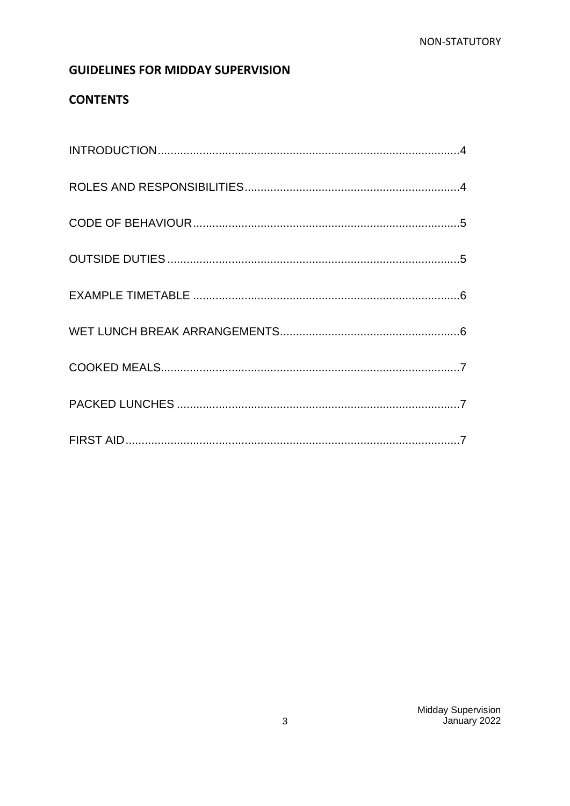## **GUIDELINES FOR MIDDAY SUPERVISION**

# **CONTENTS**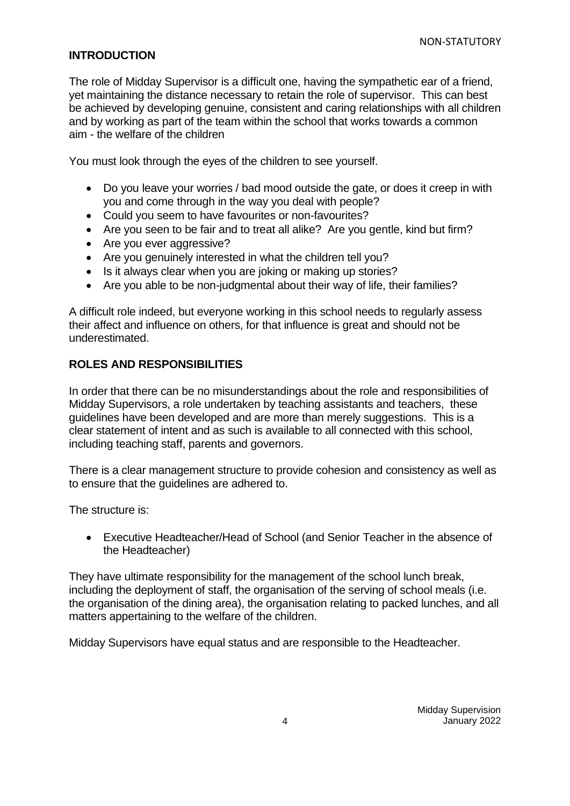## <span id="page-3-0"></span>**INTRODUCTION**

The role of Midday Supervisor is a difficult one, having the sympathetic ear of a friend, yet maintaining the distance necessary to retain the role of supervisor. This can best be achieved by developing genuine, consistent and caring relationships with all children and by working as part of the team within the school that works towards a common aim - the welfare of the children

You must look through the eyes of the children to see yourself.

- Do you leave your worries / bad mood outside the gate, or does it creep in with you and come through in the way you deal with people?
- Could you seem to have favourites or non-favourites?
- Are you seen to be fair and to treat all alike? Are you gentle, kind but firm?
- Are you ever aggressive?
- Are you genuinely interested in what the children tell you?
- Is it always clear when you are joking or making up stories?
- Are you able to be non-judgmental about their way of life, their families?

A difficult role indeed, but everyone working in this school needs to regularly assess their affect and influence on others, for that influence is great and should not be underestimated.

## <span id="page-3-1"></span>**ROLES AND RESPONSIBILITIES**

In order that there can be no misunderstandings about the role and responsibilities of Midday Supervisors, a role undertaken by teaching assistants and teachers, these guidelines have been developed and are more than merely suggestions. This is a clear statement of intent and as such is available to all connected with this school, including teaching staff, parents and governors.

There is a clear management structure to provide cohesion and consistency as well as to ensure that the guidelines are adhered to.

The structure is:

• Executive Headteacher/Head of School (and Senior Teacher in the absence of the Headteacher)

They have ultimate responsibility for the management of the school lunch break, including the deployment of staff, the organisation of the serving of school meals (i.e. the organisation of the dining area), the organisation relating to packed lunches, and all matters appertaining to the welfare of the children.

Midday Supervisors have equal status and are responsible to the Headteacher.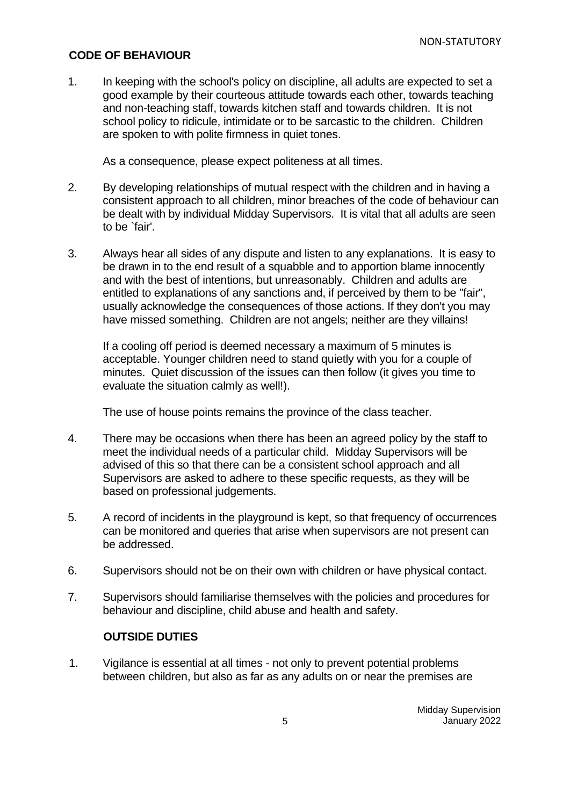### <span id="page-4-0"></span>**CODE OF BEHAVIOUR**

1. In keeping with the school's policy on discipline, all adults are expected to set a good example by their courteous attitude towards each other, towards teaching and non-teaching staff, towards kitchen staff and towards children. It is not school policy to ridicule, intimidate or to be sarcastic to the children. Children are spoken to with polite firmness in quiet tones.

As a consequence, please expect politeness at all times.

- 2. By developing relationships of mutual respect with the children and in having a consistent approach to all children, minor breaches of the code of behaviour can be dealt with by individual Midday Supervisors. It is vital that all adults are seen to be `fair'.
- 3. Always hear all sides of any dispute and listen to any explanations. It is easy to be drawn in to the end result of a squabble and to apportion blame innocently and with the best of intentions, but unreasonably. Children and adults are entitled to explanations of any sanctions and, if perceived by them to be "fair", usually acknowledge the consequences of those actions. If they don't you may have missed something. Children are not angels; neither are they villains!

If a cooling off period is deemed necessary a maximum of 5 minutes is acceptable. Younger children need to stand quietly with you for a couple of minutes. Quiet discussion of the issues can then follow (it gives you time to evaluate the situation calmly as well!).

The use of house points remains the province of the class teacher.

- 4. There may be occasions when there has been an agreed policy by the staff to meet the individual needs of a particular child. Midday Supervisors will be advised of this so that there can be a consistent school approach and all Supervisors are asked to adhere to these specific requests, as they will be based on professional judgements.
- 5. A record of incidents in the playground is kept, so that frequency of occurrences can be monitored and queries that arise when supervisors are not present can be addressed.
- 6. Supervisors should not be on their own with children or have physical contact.
- 7. Supervisors should familiarise themselves with the policies and procedures for behaviour and discipline, child abuse and health and safety.

### <span id="page-4-1"></span>**OUTSIDE DUTIES**

1. Vigilance is essential at all times - not only to prevent potential problems between children, but also as far as any adults on or near the premises are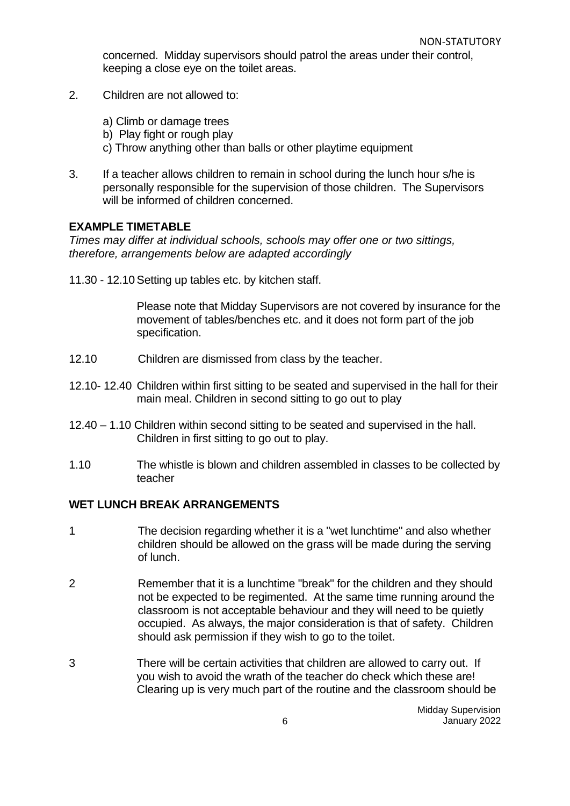concerned. Midday supervisors should patrol the areas under their control, keeping a close eye on the toilet areas.

- 2. Children are not allowed to:
	- a) Climb or damage trees
	- b) Play fight or rough play
	- c) Throw anything other than balls or other playtime equipment
- 3. If a teacher allows children to remain in school during the lunch hour s/he is personally responsible for the supervision of those children. The Supervisors will be informed of children concerned.

#### <span id="page-5-0"></span>**EXAMPLE TIMETABLE**

*Times may differ at individual schools, schools may offer one or two sittings, therefore, arrangements below are adapted accordingly*

11.30 - 12.10 Setting up tables etc. by kitchen staff.

Please note that Midday Supervisors are not covered by insurance for the movement of tables/benches etc. and it does not form part of the job specification.

- 12.10 Children are dismissed from class by the teacher.
- 12.10- 12.40 Children within first sitting to be seated and supervised in the hall for their main meal. Children in second sitting to go out to play
- 12.40 1.10 Children within second sitting to be seated and supervised in the hall. Children in first sitting to go out to play.
- 1.10 The whistle is blown and children assembled in classes to be collected by teacher

#### <span id="page-5-1"></span>**WET LUNCH BREAK ARRANGEMENTS**

- 1 The decision regarding whether it is a "wet lunchtime" and also whether children should be allowed on the grass will be made during the serving of lunch.
- 2 Remember that it is a lunchtime "break" for the children and they should not be expected to be regimented. At the same time running around the classroom is not acceptable behaviour and they will need to be quietly occupied. As always, the major consideration is that of safety. Children should ask permission if they wish to go to the toilet.
- 3 There will be certain activities that children are allowed to carry out. If you wish to avoid the wrath of the teacher do check which these are! Clearing up is very much part of the routine and the classroom should be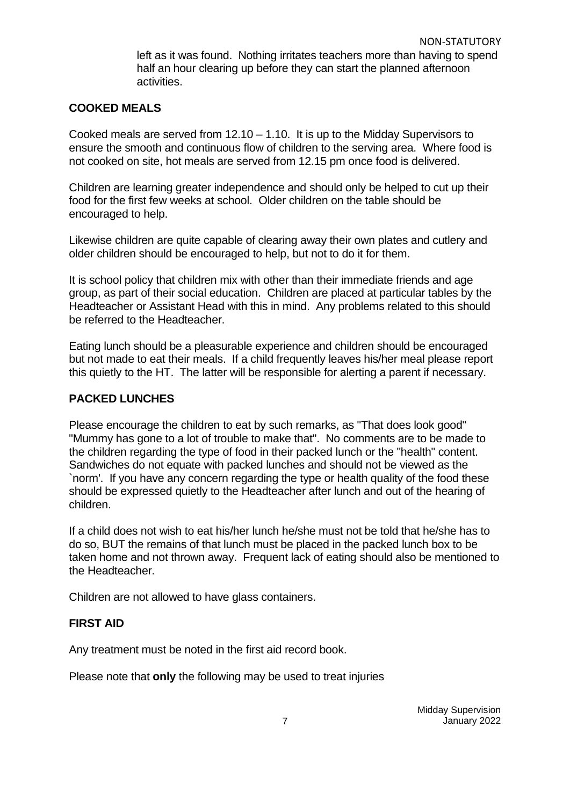left as it was found. Nothing irritates teachers more than having to spend half an hour clearing up before they can start the planned afternoon activities.

#### <span id="page-6-0"></span>**COOKED MEALS**

Cooked meals are served from 12.10 – 1.10. It is up to the Midday Supervisors to ensure the smooth and continuous flow of children to the serving area. Where food is not cooked on site, hot meals are served from 12.15 pm once food is delivered.

Children are learning greater independence and should only be helped to cut up their food for the first few weeks at school. Older children on the table should be encouraged to help.

Likewise children are quite capable of clearing away their own plates and cutlery and older children should be encouraged to help, but not to do it for them.

It is school policy that children mix with other than their immediate friends and age group, as part of their social education. Children are placed at particular tables by the Headteacher or Assistant Head with this in mind. Any problems related to this should be referred to the Headteacher.

Eating lunch should be a pleasurable experience and children should be encouraged but not made to eat their meals. If a child frequently leaves his/her meal please report this quietly to the HT. The latter will be responsible for alerting a parent if necessary.

### <span id="page-6-1"></span>**PACKED LUNCHES**

Please encourage the children to eat by such remarks, as "That does look good" "Mummy has gone to a lot of trouble to make that". No comments are to be made to the children regarding the type of food in their packed lunch or the "health" content. Sandwiches do not equate with packed lunches and should not be viewed as the `norm'. If you have any concern regarding the type or health quality of the food these should be expressed quietly to the Headteacher after lunch and out of the hearing of children.

If a child does not wish to eat his/her lunch he/she must not be told that he/she has to do so, BUT the remains of that lunch must be placed in the packed lunch box to be taken home and not thrown away. Frequent lack of eating should also be mentioned to the Headteacher.

Children are not allowed to have glass containers.

### <span id="page-6-2"></span>**FIRST AID**

Any treatment must be noted in the first aid record book.

Please note that **only** the following may be used to treat injuries